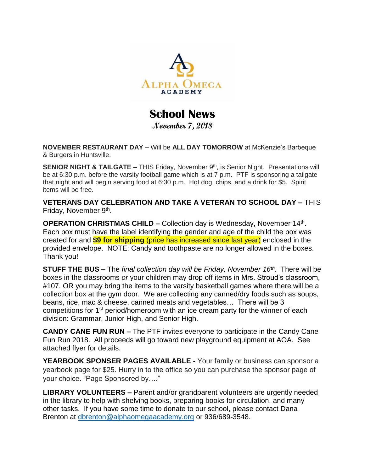

**School News November 7, 2018**

**NOVEMBER RESTAURANT DAY –** Will be **ALL DAY TOMORROW** at McKenzie's Barbeque & Burgers in Huntsville.

**SENIOR NIGHT & TAILGATE - THIS Friday, November 9<sup>th</sup>, is Senior Night. Presentations will** be at 6:30 p.m. before the varsity football game which is at 7 p.m. PTF is sponsoring a tailgate that night and will begin serving food at 6:30 p.m. Hot dog, chips, and a drink for \$5. Spirit items will be free.

**VETERANS DAY CELEBRATION AND TAKE A VETERAN TO SCHOOL DAY –** THIS Friday, November 9<sup>th</sup>.

**OPERATION CHRISTMAS CHILD –** Collection day is Wednesday, November 14<sup>th</sup>. Each box must have the label identifying the gender and age of the child the box was created for and **\$9 for shipping** (price has increased since last year) enclosed in the provided envelope. NOTE: Candy and toothpaste are no longer allowed in the boxes. Thank you!

**STUFF THE BUS –** The *final collection day will be Friday, November 16th*. There will be boxes in the classrooms *or* your children may drop off items in Mrs. Stroud's classroom, #107. OR you may bring the items to the varsity basketball games where there will be a collection box at the gym door. We are collecting any canned/dry foods such as soups, beans, rice, mac & cheese, canned meats and vegetables… There will be 3 competitions for 1<sup>st</sup> period/homeroom with an ice cream party for the winner of each division: Grammar, Junior High, and Senior High.

**CANDY CANE FUN RUN –** The PTF invites everyone to participate in the Candy Cane Fun Run 2018. All proceeds will go toward new playground equipment at AOA. See attached flyer for details.

**YEARBOOK SPONSER PAGES AVAILABLE -** Your family or business can sponsor a yearbook page for \$25. Hurry in to the office so you can purchase the sponsor page of your choice. "Page Sponsored by…."

**LIBRARY VOLUNTEERS –** Parent and/or grandparent volunteers are urgently needed in the library to help with shelving books, preparing books for circulation, and many other tasks. If you have some time to donate to our school, please contact Dana Brenton at [dbrenton@alphaomegaacademy.org](mailto:dbrenton@alphaomegaacademy.org) or 936/689-3548.